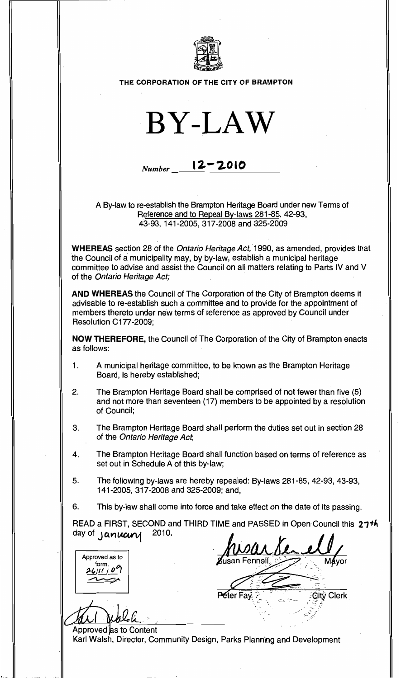

## THE CORPORATION OF THE CITY OF BRAMPTON



## *Number* **12-2010**

A By-law to re-establish the Brampton Heritage Board under new Terms of Reference and to Repeal By-laws 281-85, 42-93, 43-93,141-2005,317-2008 and 325-2009

WHEREAS section 28 of the Ontario Heritage Act, 1990, as amended, provides that the Council of amunicipality may, by by-law, establish a municipal heritage committee to advise and assist the Council on all matters relating to Parts IV and V of the Ontario Heritage Act;

AND WHEREAS the Council of The Corporation of the City of Brampton deems it advisable to re-establish such a committee and to provide for the appointment of members thereto under new terms of reference as approved by Council under Resolution C177-2009;

NOW THEREFORE, the Council of The Corporation of the City of Brampton enacts as follows:

- 1. A municipal heritage committee, to be known as the Brampton Heritage Board, is hereby established;
- 2. The Brampton Heritage Board shall be comprised of not fewer than five (5) and not more than seventeen (17) members to be appointed by a resolution of Council;
- 3. The Brampton Heritage Board shall perform the duties set out in section 28 of the Ontario Heritage Act,
- 4. The Brampton Heritage Board shall function based on terms of reference as set out in Schedule A of this by-law;
- 5. The following by-laws are hereby repealed: By-laws 281-85, 42-93, 43-93, 141-2005,317·2008 and 325-2009; and,
- 6. This by-law shall come into force and take effect on the date of its passing.

READ a FIRST, SECOND and THIRD TIME and PASSED in Open Council this 27<sup>th</sup>. day of  $\gamma$  anuary 2010.

**Peter Fax** 

City Clerk

Approved as to form.<br>*LIILI 0*9  $\frac{\mu_{UII} \cdot \rho}{\sqrt{\frac{2L|II|}{L}} \cdot \rho}$  Mayor

Approved as to Content

,-

Karl Walsh, Director, Community Design, Parks Planning and Development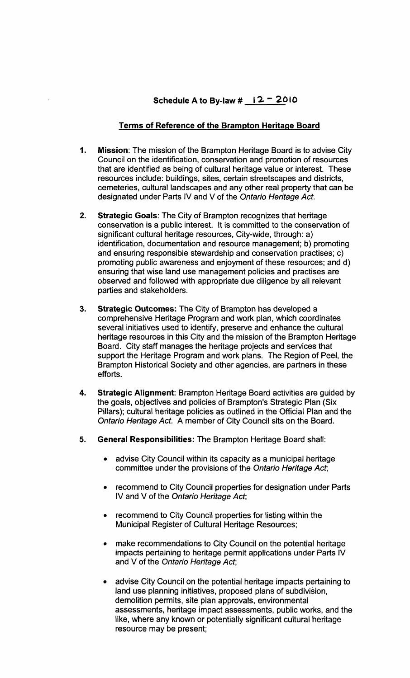## Terms of Reference of the Brampton Heritage Board

- 1. Mission: The mission of the Brampton Heritage Board is to advise City Council on the identification, conservation and promotion of resources that are identified as being of cultural heritage value or interest. These resources include: buildings, sites, certain streetscapes and districts, cemeteries, cultural landscapes and any other real property that can be designated under Parts IV and V of the Ontario Heritage Act.
- 2. Strategic Goals: The City of Brampton recognizes that heritage conservation is a public interest. It is committed to the conservation of significant cultural heritage resources, City-wide, through: a) identification, documentation and resource management; b) promoting and ensuring responsible stewardship and conservation practises; c) promoting public awareness and enjoyment of these resources; and d) ensuring that wise land use management policies and practises are observed and followed with appropriate due diligence by all relevant parties and stakeholders.
- 3. Strategic Outcomes: The City of Brampton has developed a comprehensive Heritage Program and work plan, which coordinates several initiatives used to identify, preserve and enhance the cultural heritage resources in this City and the mission of the Brampton Heritage Board. City staff manages the heritage projects and services that support the Heritage Program and work plans. The Region of Peel, the Brampton Historical Society and other agencies, are partners in these efforts.
- 4. Strategic Alignment: Brampton Heritage Board activities are guided by the goals, objectives and policies of Brampton's Strategic Plan (Six Pillars); cultural heritage policies as outlined in the Official Plan and the Ontario Heritage Act. A member of City Council sits on the Board.
- 5. General Responsibilities: The Brampton Heritage Board shall:
	- advise City Council within its capacity as a municipal heritage committee under the provisions of the Ontario Heritage Act,
	- recommend to City Council properties for designation under Parts IV and V of the Ontario Heritage Act;
	- recommend to City Council properties for listing within the Municipal Register of Cultural Heritage Resources;
	- make recommendations to City Council on the potential heritage impacts pertaining to heritage permit applications under Parts IV and V of the Ontario Heritage Act;
	- advise City Council on the potential heritage impacts pertaining to land use planning initiatives, proposed plans of subdivision, demolition permits, site plan approvals, environmental assessments, heritage impact assessments, public works, and the like, where any known or potentially significant cultural heritage resource may be present;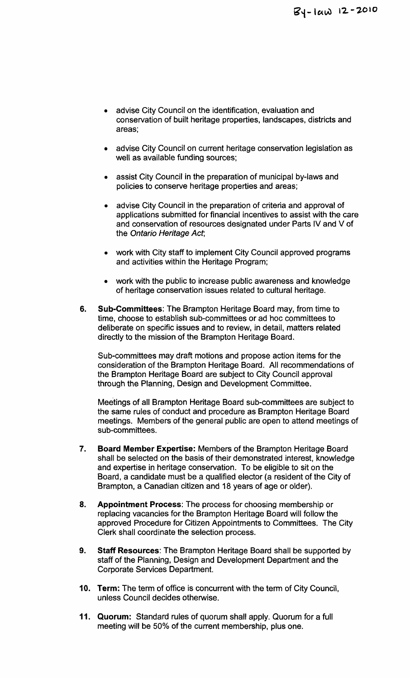- advise City Council on the identification, evaluation and conservation of built heritage properties, landscapes, districts and areas;
- advise City Council on current heritage conservation legislation as well as available funding sources;
- assist City Council in the preparation of municipal by-laws and policies to conserve heritage properties and areas;
- advise City Council in the preparation of criteria and approval of applications submitted for financial incentives to assist with the care and conservation of resources designated under Parts IV and V of the Ontario Heritage Act;
- work with City staff to implement City Council approved programs and activities within the Heritage Program;
- work with the public to increase public awareness and knowledge of heritage conservation issues related to cultural heritage.
- 6. Sub-Committees: The Brampton Heritage Board may, from time to time, choose to establish sub-committees or ad hoc committees to deliberate on specific issues and to review, in detail, matters related directly to the mission of the Brampton Heritage Board.

Sub-committees may draft motions and propose action items for the consideration of the Brampton Heritage Board. All recommendations of the Brampton Heritage Board are subject to City Council approval through the Planning, Design and Development Committee.

Meetings of all Brampton Heritage Board sub-committees are subject to the same rules of conduct and procedure as Brampton Heritage Board meetings. Members of the general public are open to attend meetings of sub-committees.

- 7. Board Member Expertise: Members of the Brampton Heritage Board shall be selected on the basis of their demonstrated interest, knowledge and expertise in heritage conservation. To be eligible to sit on the Board, a candidate must be a qualified elector (a resident of the City of Brampton, a Canadian citizen and 18 years of age or older).
- 8. Appointment Process: The process for choosing membership or replacing vacancies for the Brampton Heritage Board will follow the approved Procedure for Citizen Appointments to Committees. The City Clerk shall coordinate the selection process.
- 9. Staff Resources: The Brampton Heritage Board shall be supported by staff of the Planning, Design and Development Department and the Corporate Services Department.
- 10. Term: The term of office is concurrent with the term of City Council, unless Council decides otherwise.
- 11. Quorum: Standard rules of quorum shall apply. Quorum for a full meeting will be 50% of the current membership, plus one.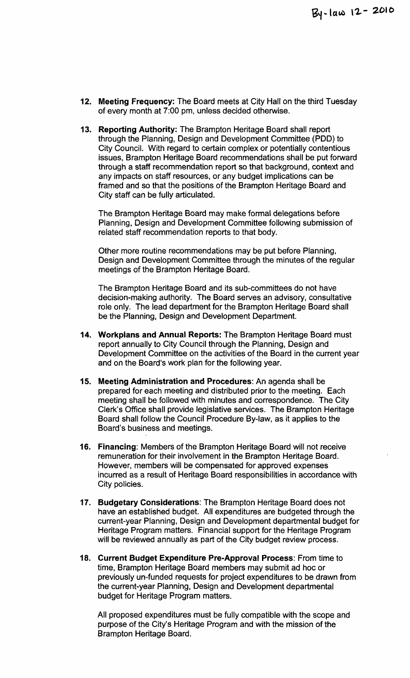- 12. Meeting Frequency: The Board meets at City Hall on the third Tuesday of every month at 7:00 pm, unless decided otherwise.
- 13. Reporting Authority: The Brampton Heritage Board shall report through the Planning, Design and Development Committee (PDD) to City Council. With regard to certain complex or potentially contentious issues, Brampton Heritage Board recommendations shall be put forward through a staff recommendation report so that background, context and any impacts on staff resources, or any budget implications can be framed and so that the positions of the Brampton Heritage Board and City staff can be fully articulated.

The Brampton Heritage Board may make formal delegations before Planning, DeSign and Development Committee following submission of related staff recommendation reports to that body.

Other more routine recommendations may be put before Planning, Design and Development Committee through the minutes of the regular meetings of the Brampton Heritage Board.

The Brampton Heritage Board and its sub-committees do not have decision-making authority. The Board serves an advisory, consultative role only. The lead department for the Brampton Heritage Board shall be the Planning, Design and Development Department.

- 14. Workplans and Annual Reports: The Brampton Heritage Board must report annually to City Council through the Planning, Design and Development Committee on the activities of the Board in the current year and on the Board's work plan for the following year.
- 15. Meeting Administration and Procedures: An agenda shall be prepared for each meeting and distributed prior to the meeting. Each meeting shall be followed with minutes and correspondence. The City Clerk's Office shall provide legislative services. The Brampton Heritage Board shall follow the Council Procedure By-law, as it applies to the Board's business and meetings.
- 16. Financing: Members of the Brampton Heritage Board will not receive remuneration for their involvement in the Brampton Heritage Board. However, members will be compensated for approved expenses incurred as a result of Heritage Board responsibilities in accordance with City policies.
- 17. Budgetary Considerations: The Brampton Heritage Board does not have an established budget. All expenditures are budgeted through the current-year Planning, Design and Development departmental budget for Heritage Program matters. Financial support for the Heritage Program will be reviewed annually as part of the City budget review process.
- 18. Current Budget Expenditure Pre-Approval Process: From time to time, Brampton Heritage Board members may submit ad hoc or previously un-funded requests for project expenditures to be drawn from the current-year Planning, Design and Development departmental budget for Heritage Program matters.

All proposed expenditures must be fully compatible with the scope and purpose of the City's Heritage Program and with the mission of the Brampton Heritage Board.